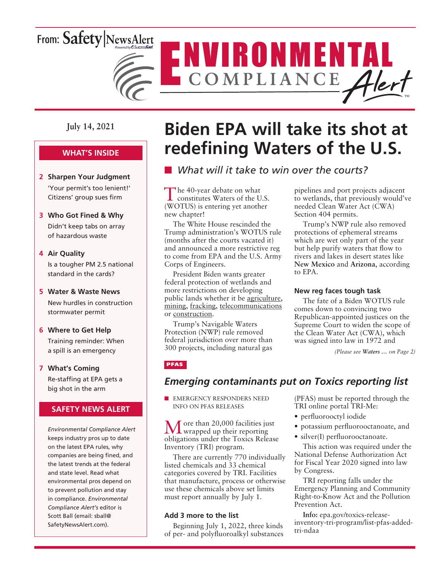# From: Safety NewsAlert



**July 14, 2021**

### **WHAT'S INSIDE**

- **2 Sharpen Your Judgment** 'Your permit's too lenient!' Citizens' group sues firm
- **3 Who Got Fined & Why** Didn't keep tabs on array of hazardous waste

#### **4 Air Quality**

Is a tougher PM 2.5 national standard in the cards?

#### **5 Water & Waste News**

New hurdles in construction stormwater permit

#### **6 Where to Get Help**

Training reminder: When a spill is an emergency

**7 What's Coming** Re-staffing at EPA gets a big shot in the arm

### **SAFETY NEWS ALERT**

*Environmental Compliance Alert* keeps industry pros up to date on the latest EPA rules, why companies are being fined, and the latest trends at the federal and state level. Read what environmental pros depend on to prevent pollution and stay in compliance. *Environmental Compliance Alert's* editor is Scott Ball (email: sball@ SafetyNewsAlert.com).

# **Biden EPA will take its shot at redefining Waters of the U.S.**

# **n** *What will it take to win over the courts?*

The 40-year debate on what constitutes Waters of the U.S. (WOTUS) is entering yet another new chapter!

The White House rescinded the Trump administration's WOTUS rule (months after the courts vacated it) and announced a more restrictive reg to come from EPA and the U.S. Army Corps of Engineers.

President Biden wants greater federal protection of wetlands and more restrictions on developing public lands whether it be agriculture, mining, fracking, telecommunications or construction.

Trump's Navigable Waters Protection (NWP) rule removed federal jurisdiction over more than 300 projects, including natural gas

pipelines and port projects adjacent to wetlands, that previously would've needed Clean Water Act (CWA) Section 404 permits.

Trump's NWP rule also removed protections of ephemeral streams which are wet only part of the year but help purify waters that flow to rivers and lakes in desert states like **New Mexico** and **Arizona**, according to EPA.

#### **New reg faces tough task**

The fate of a Biden WOTUS rule comes down to convincing two Republican-appointed justices on the Supreme Court to widen the scope of the Clean Water Act (CWA), which was signed into law in 1972 and

*(Please see Waters … on Page 2)*

### PFAS

### *Emerging contaminants put on Toxics reporting list*

**NEW EMERGENCY RESPONDERS NEED** INFO ON PFAS RELEASES

More than 20,000 facilities just<br>wrapped up their reporting obligations under the Toxics Release Inventory (TRI) program.

There are currently 770 individually listed chemicals and 33 chemical categories covered by TRI. Facilities that manufacture, process or otherwise use these chemicals above set limits must report annually by July 1.

#### **Add 3 more to the list**

Beginning July 1, 2022, three kinds of per- and polyfluoroalkyl substances (PFAS) must be reported through the TRI online portal TRI-Me:

- perfluorooctyl iodide
- potassium perfluorooctanoate, and
- silver(I) perfluorooctanoate.

This action was required under the National Defense Authorization Act for Fiscal Year 2020 signed into law by Congress.

TRI reporting falls under the Emergency Planning and Community Right-to-Know Act and the Pollution Prevention Act.

**Info:** epa.gov/toxics-releaseinventory-tri-program/list-pfas-addedtri-ndaa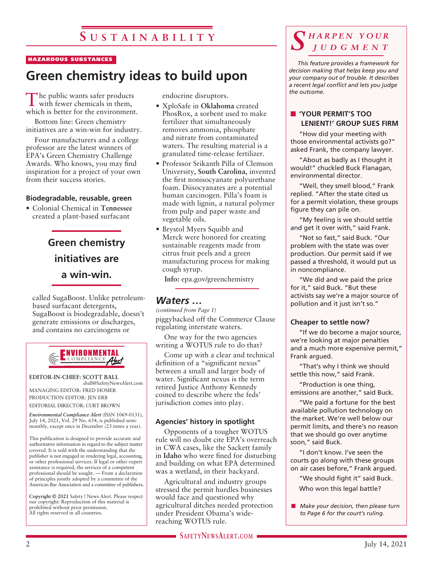#### HAZARDOUS SUBSTANCES

# **Green chemistry ideas to build upon**

The public wants safer products with fewer chemicals in them, which is better for the environment.

Bottom line: Green chemistry initiatives are a win-win for industry.

Four manufacturers and a college professor are the latest winners of EPA's Green Chemistry Challenge Awards. Who knows, you may find inspiration for a project of your own from their success stories.

#### **Biodegradable, reusable, green**

• Colonial Chemical in **Tennessee** created a plant-based surfacant

# **Green chemistry initiatives are a win-win.**

called SugaBoost. Unlike petroleumbased surfacant detergents, SugaBoost is biodegradable, doesn't generate emissions or discharges, and contains no carcinogens or



**EDITOR-IN-CHIEF: SCOTT BALL** sball@SafetyNewsAlert.com MANAGING EDITOR: FRED HOSIER

PRODUCTION EDITOR: JEN ERB EDITORIAL DIRECTOR: CURT BROWN

*Environmental Compliance Alert* (ISSN 1069-0131), July 14, 2021, Vol. 29 No. 654, is published semimonthly, except once in December (23 times a year).

This publication is designed to provide accurate and authoritative information in regard to the subject matter covered. It is sold with the understanding that the publisher is not engaged in rendering legal, accounting, or other professional services. If legal or other expert assistance is required, the services of a competent professional should be sought. — From a declaration of principles jointly adopted by a committee of the American Bar Association and a committee of publishers.

**Copyright © 2021** Safety | News Alert. Please respect our copyright: Reproduction of this material is prohibited without prior permission. All rights reserved in all countries.

endocrine disruptors.

- XploSafe in **Oklahoma** created PhosRox, a sorbent used to make fertilizer that simultaneously removes ammonia, phosphate and nitrate from contaminated waters. The resulting material is a granulated time-release fertilizer.
- Professor Srikanth Pilla of Clemson University, **South Carolina**, invented the first nonisocyanate polyurethane foam. Diisocyanates are a potential human carcinogen. Pilla's foam is made with lignin, a natural polymer from pulp and paper waste and vegetable oils.
- Brystol Myers Squibb and Merck were honored for creating sustainable reagents made from citrus fruit peels and a green manufacturing process for making cough syrup.

**Info:** epa.gov/greenchemistry

### *Waters …*

piggybacked off the Commerce Clause regulating interstate waters. *(continued from Page 1)*

One way for the two agencies writing a WOTUS rule to do that?

Come up with a clear and technical definition of a "significant nexus" between a small and larger body of water. Significant nexus is the term retired Justice Anthony Kennedy coined to describe where the feds' jurisdiction comes into play.

#### **Agencies' history in spotlight**

Opponents of a tougher WOTUS rule will no doubt cite EPA's overreach in CWA cases, like the Sackett family in **Idaho** who were fined for disturbing and building on what EPA determined was a wetland, in their backyard.

Agricultural and industry groups stressed the permit hurdles businesses would face and questioned why agricultural ditches needed protection under President Obama's widereaching WOTUS rule.

**SAFETYNEWSALERT.COM** 

## *S h a r p e n y o u r j u d g m e n t*

*This feature provides a framework for decision making that helps keep you and your company out of trouble. It describes a recent legal conflict and lets you judge the outcome.*

#### n **'YOUR PERMIT'S TOO LENIENT!' GROUP SUES FIRM**

"How did your meeting with those environmental activists go?" asked Frank, the company lawyer.

"About as badly as I thought it would!" chuckled Buck Flanagan, environmental director.

"Well, they smell blood," Frank replied. "After the state cited us for a permit violation, these groups figure they can pile on.

"My feeling is we should settle and get it over with," said Frank.

"Not so fast," said Buck. "Our problem with the state was over production. Our permit said if we passed a threshold, it would put us in noncompliance.

"We did and we paid the price for it," said Buck. "But these activists say we're a major source of pollution and it just isn't so."

#### **Cheaper to settle now?**

"If we do become a major source, we're looking at major penalties and a much more expensive permit," Frank argued.

"That's why I think we should settle this now," said Frank.

"Production is one thing, emissions are another," said Buck.

"We paid a fortune for the best available pollution technology on the market. We're well below our permit limits, and there's no reason that we should go over anytime soon," said Buck.

"I don't know. I've seen the courts go along with these groups on air cases before," Frank argued.

"We should fight it" said Buck. Who won this legal battle?

**n** *Make your decision, then please turn to Page 6 for the court's ruling.*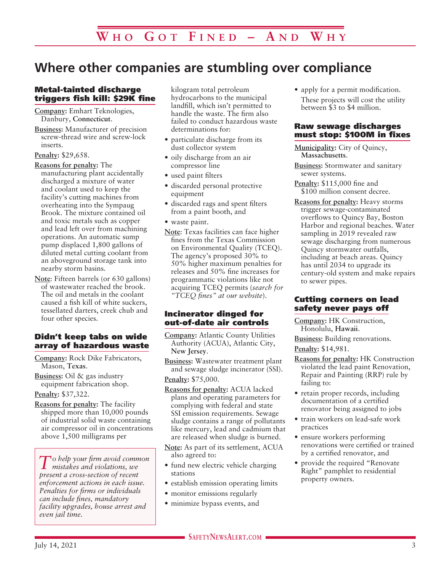# **Where other companies are stumbling over compliance**

### Metal-tainted discharge triggers fish kill: \$29K fine

**Company:** Emhart Teknologies, Danbury, **Connecticut**.

**Business:** Manufacturer of precision screw-thread wire and screw-lock inserts.

#### **Penalty:** \$29,658.

**Reasons for penalty:** The manufacturing plant accidentally discharged a mixture of water and coolant used to keep the facility's cutting machines from overheating into the Sympaug Brook. The mixture contained oil and toxic metals such as copper and lead left over from machining operations. An automatic sump pump displaced 1,800 gallons of diluted metal cutting coolant from an aboveground storage tank into nearby storm basins.

**Note**: Fifteen barrels (or 630 gallons) of wastewater reached the brook. The oil and metals in the coolant caused a fish kill of white suckers, tessellated darters, creek chub and four other species.

#### Didn't keep tabs on wide array of hazardous waste

**Company:** Rock Dike Fabricators, Mason, **Texas**.

**Business:** Oil & gas industry equipment fabrication shop.

**Penalty:** \$37,322.

**Reasons for penalty:** The facility shipped more than 10,000 pounds of industrial solid waste containing air compressor oil in concentrations above 1,500 milligrams per

*To help your firm avoid common mistakes and violations, we present a cross-section of recent enforcement actions in each issue. Penalties for firms or individuals can include fines, mandatory facility upgrades, house arrest and even jail time.*

kilogram total petroleum hydrocarbons to the municipal landfill, which isn't permitted to handle the waste. The firm also failed to conduct hazardous waste determinations for:

- particulate discharge from its dust collector system
- oily discharge from an air compressor line
- used paint filters
- discarded personal protective equipment
- discarded rags and spent filters from a paint booth, and
- waste paint.
- **Note**: Texas facilities can face higher fines from the Texas Commission on Environmental Quality (TCEQ). The agency's proposed 30% to 50% higher maximum penalties for releases and 50% fine increases for programmatic violations like not acquiring TCEQ permits (*search for "TCEQ fines" at our website*).

#### Incinerator dinged for out-of-date air controls

**Company:** Atlantic County Utilities Authority (ACUA), Atlantic City, **New Jersey**.

- **Business:** Wastewater treatment plant and sewage sludge incinerator (SSI). **Penalty:** \$75,000.
- **Reasons for penalty:** ACUA lacked plans and operating parameters for complying with federal and state SSI emission requirements. Sewage sludge contains a range of pollutants like mercury, lead and cadmium that are released when sludge is burned.
- **Note:** As part of its settlement, ACUA also agreed to:
- fund new electric vehicle charging stations
- establish emission operating limits
- monitor emissions regularly
- minimize bypass events, and

• apply for a permit modification. These projects will cost the utility between \$3 to \$4 million.

#### Raw sewage discharges must stop: \$100M in fixes

**Municipality:** City of Quincy, **Massachusetts**.

**Business:** Stormwater and sanitary sewer systems.

**Penalty:** \$115,000 fine and \$100 million consent decree.

**Reasons for penalty:** Heavy storms trigger sewage-contaminated overflows to Quincy Bay, Boston Harbor and regional beaches. Water sampling in 2019 revealed raw sewage discharging from numerous Quincy stormwater outfalls, including at beach areas. Quincy has until 2034 to upgrade its century-old system and make repairs to sewer pipes.

#### Cutting corners on lead safety never pays off

**Company:** HK Construction, Honolulu, **Hawaii**.

**Business:** Building renovations.

**Penalty:** \$14,981.

- **Reasons for penalty:** HK Construction violated the lead paint Renovation, Repair and Painting (RRP) rule by failing to:
- retain proper records, including documentation of a certified renovator being assigned to jobs
- train workers on lead-safe work practices
- ensure workers performing renovations were certified or trained by a certified renovator, and
- provide the required "Renovate Right" pamphlet to residential property owners.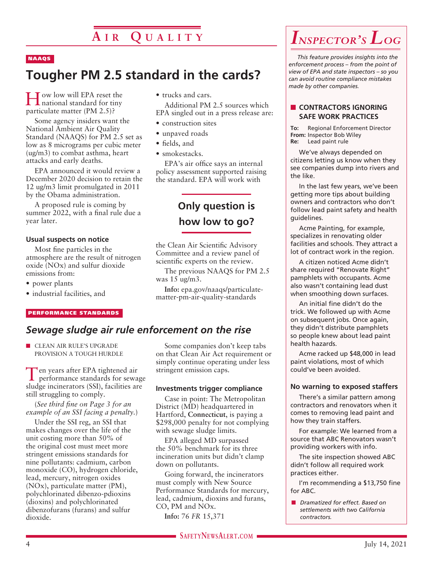# **A i r Q u a l i t y**

#### NAAQS

# **Tougher PM 2.5 standard in the cards?**

How low will EPA reset the national standard for tiny particulate matter (PM 2.5)?

Some agency insiders want the National Ambient Air Quality Standard (NAAQS) for PM 2.5 set as low as 8 micrograms per cubic meter (ug/m3) to combat asthma, heart attacks and early deaths.

EPA announced it would review a December 2020 decision to retain the 12 ug/m3 limit promulgated in 2011 by the Obama administration.

A proposed rule is coming by summer 2022, with a final rule due a year later.

#### **Usual suspects on notice**

Most fine particles in the atmosphere are the result of nitrogen oxide (NOx) and sulfur dioxide emissions from:

- power plants
- industrial facilities, and

#### PERFORMANCE STANDARDS

### *Sewage sludge air rule enforcement on the rise*

**n** CLEAN AIR RULE'S UPGRADE PROVISION A TOUGH HURDLE

Ten years after EPA tightened air performance standards for sewage sludge incinerators (SSI), facilities are still struggling to comply.

(*See third fine on Page 3 for an example of an SSI facing a penalty.*)

Under the SSI reg, an SSI that makes changes over the life of the unit costing more than 50% of the original cost must meet more stringent emissions standards for nine pollutants: cadmium, carbon monoxide (CO), hydrogen chloride, lead, mercury, nitrogen oxides (NOx), particulate matter (PM), polychlorinated dibenzo-pdioxins (dioxins) and polychlorinated dibenzofurans (furans) and sulfur dioxide.

- trucks and cars. Additional PM 2.5 sources which EPA singled out in a press release are:
- construction sites
- unpaved roads
- fields, and
- smokestacks.

EPA's air office says an internal policy assessment supported raising the standard. EPA will work with

# **Only question is how low to go?**

the Clean Air Scientific Advisory Committee and a review panel of scientific experts on the review.

The previous NAAQS for PM 2.5 was 15 ug/m3.

**Info:** epa.gov/naaqs/particulatematter-pm-air-quality-standards

# Some companies don't keep tabs on that Clean Air Act requirement or

simply continue operating under less stringent emission caps.

#### **Investments trigger compliance**

Case in point: The Metropolitan District (MD) headquartered in Hartford, **Connecticut**, is paying a \$298,000 penalty for not complying with sewage sludge limits.

EPA alleged MD surpassed the 50% benchmark for its three incineration units but didn't clamp down on pollutants.

Going forward, the incinerators must comply with New Source Performance Standards for mercury, lead, cadmium, dioxins and furans, CO, PM and NOx.

**Info:** 76 *FR* 15,371

# *Inspector's Log*

*This feature provides insights into the enforcement process – from the point of view of EPA and state inspectors – so you can avoid routine compliance mistakes made by other companies.*

#### **N** CONTRACTORS IGNORING **SAFE WORK PRACTICES**

**To:** Regional Enforcement Director **From:** Inspector Bob Wiley **Re:** Lead paint rule

We've always depended on citizens letting us know when they see companies dump into rivers and the like.

In the last few years, we've been getting more tips about building owners and contractors who don't follow lead paint safety and health guidelines.

Acme Painting, for example, specializes in renovating older facilities and schools. They attract a lot of contract work in the region.

A citizen noticed Acme didn't share required "Renovate Right" pamphlets with occupants. Acme also wasn't containing lead dust when smoothing down surfaces.

An initial fine didn't do the trick. We followed up with Acme on subsequent jobs. Once again, they didn't distribute pamphlets so people knew about lead paint health hazards.

Acme racked up \$48,000 in lead paint violations, most of which could've been avoided.

#### **No warning to exposed staffers**

There's a similar pattern among contractors and renovators when it comes to removing lead paint and how they train staffers.

For example: We learned from a source that ABC Renovators wasn't providing workers with info.

The site inspection showed ABC didn't follow all required work practices either.

I'm recommending a \$13,750 fine for ABC.

n *Dramatized for effect. Based on settlements with two California contractors.*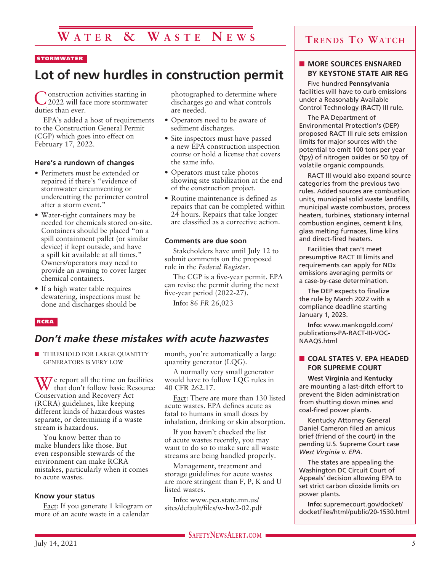# **W a t e r & W a s t e N e w s**

#### **STORMWATER**

# **Lot of new hurdles in construction permit**

Construction activities starting in 2022 will face more stormwater duties than ever.

EPA's added a host of requirements to the Construction General Permit (CGP) which goes into effect on February 17, 2022.

#### **Here's a rundown of changes**

- Perimeters must be extended or repaired if there's "evidence of stormwater circumventing or undercutting the perimeter control after a storm event."
- Water-tight containers may be needed for chemicals stored on-site. Containers should be placed "on a spill containment pallet (or similar device) if kept outside, and have a spill kit available at all times." Owners/operators may need to provide an awning to cover larger chemical containers.
- If a high water table requires dewatering, inspections must be done and discharges should be

photographed to determine where discharges go and what controls are needed.

- Operators need to be aware of sediment discharges.
- Site inspectors must have passed a new EPA construction inspection course or hold a license that covers the same info.
- Operators must take photos showing site stabilization at the end of the construction project.
- Routine maintenance is defined as repairs that can be completed within 24 hours. Repairs that take longer are classified as a corrective action.

#### **Comments are due soon**

Stakeholders have until July 12 to submit comments on the proposed rule in the *Federal Register*.

The CGP is a five-year permit. EPA can revise the permit during the next five-year period (2022-27).

**Info:** 86 *FR* 26,023

#### RCRA

### *Don't make these mistakes with acute hazwastes*

**n** THRESHOLD FOR LARGE QUANTITY GENERATORS IS VERY LOW

 $\gamma$  e report all the time on facilities that don't follow basic Resource Conservation and Recovery Act (RCRA) guidelines, like keeping different kinds of hazardous wastes separate, or determining if a waste stream is hazardous.

You know better than to make blunders like those. But even responsible stewards of the environment can make RCRA mistakes, particularly when it comes to acute wastes.

#### **Know your status**

Fact: If you generate 1 kilogram or more of an acute waste in a calendar

month, you're automatically a large quantity generator (LQG).

A normally very small generator would have to follow LQG rules in 40 CFR 262.17.

Fact: There are more than 130 listed acute wastes. EPA defines acute as fatal to humans in small doses by inhalation, drinking or skin absorption.

If you haven't checked the list of acute wastes recently, you may want to do so to make sure all waste streams are being handled properly.

Management, treatment and storage guidelines for acute wastes are more stringent than F, P, K and U listed wastes.

**Info:** www.pca.state.mn.us/ sites/default/files/w-hw2-02.pdf

### **Trends To Watch**

#### **NORE SOURCES ENSNARED BY KEYSTONE STATE AIR REG**

Five hundred **Pennsylvania** facilities will have to curb emissions under a Reasonably Available Control Technology (RACT) III rule.

The PA Department of Environmental Protection's (DEP) proposed RACT III rule sets emission limits for major sources with the potential to emit 100 tons per year (tpy) of nitrogen oxides or 50 tpy of volatile organic compounds.

RACT III would also expand source categories from the previous two rules. Added sources are combustion units, municipal solid waste landfills, municipal waste combustors, process heaters, turbines, stationary internal combustion engines, cement kilns, glass melting furnaces, lime kilns and direct-fired heaters.

Facilities that can't meet presumptive RACT III limits and requirements can apply for NOx emissions averaging permits or a case-by-case determination.

The DEP expects to finalize the rule by March 2022 with a compliance deadline starting January 1, 2023.

**Info:** www.mankogold.com/ publications-PA-RACT-III-VOC-NAAQS.html

#### **n** COAL STATES V. EPA HEADED **FOR SUPREME COURT**

**West Virginia** and **Kentucky** are mounting a last-ditch effort to prevent the Biden administration from shutting down mines and coal-fired power plants.

Kentucky Attorney General Daniel Cameron filed an amicus brief (friend of the court) in the pending U.S. Supreme Court case *West Virginia v. EPA*.

The states are appealing the Washington DC Circuit Court of Appeals' decision allowing EPA to set strict carbon dioxide limits on power plants.

**Info:** supremecourt.gov/docket/ docketfiles/html/public/20-1530.html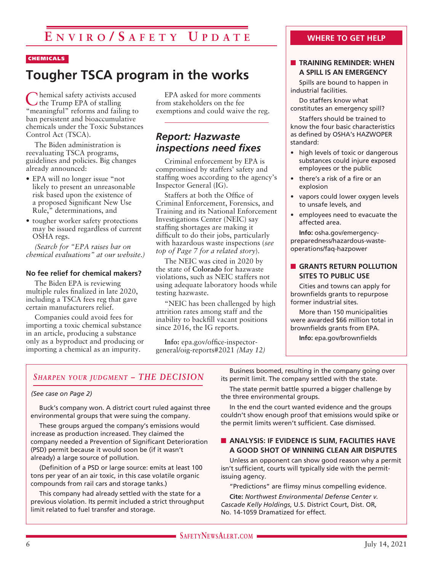#### CHEMICALS

# **Tougher TSCA program in the works**

**hemical safety activists accused** the Trump EPA of stalling "meaningful" reforms and failing to ban persistent and bioaccumulative chemicals under the Toxic Substances Control Act (TSCA).

The Biden administration is reevaluating TSCA programs, guidelines and policies. Big changes already announced:

- EPA will no longer issue "not likely to present an unreasonable risk based upon the existence of a proposed Significant New Use Rule," determinations, and
- tougher worker safety protections may be issued regardless of current OSHA regs.

*(Search for "EPA raises bar on chemical evaluations" at our website.)*

#### **No fee relief for chemical makers?**

The Biden EPA is reviewing multiple rules finalized in late 2020, including a TSCA fees reg that gave certain manufacturers relief.

Companies could avoid fees for importing a toxic chemical substance in an article, producing a substance only as a byproduct and producing or importing a chemical as an impurity.

EPA asked for more comments from stakeholders on the fee exemptions and could waive the reg.

## *Report: Hazwaste inspections need fixes*

Criminal enforcement by EPA is compromised by staffers' safety and staffing woes according to the agency's Inspector General (IG).

Staffers at both the Office of Criminal Enforcement, Forensics, and Training and its National Enforcement Investigations Center (NEIC) say staffing shortages are making it difficult to do their jobs, particularly with hazardous waste inspections (*see top of Page 7 for a related story*).

The NEIC was cited in 2020 by the state of **Colorado** for hazwaste violations, such as NEIC staffers not using adequate laboratory hoods while testing hazwaste.

"NEIC has been challenged by high attrition rates among staff and the inability to backfill vacant positions since 2016, the IG reports.

**Info:** epa.gov/office-inspectorgeneral/oig-reports#2021 *(May 12)*

### **WHERE TO GET HELP**

#### **n** TRAINING REMINDER: WHEN **A SPILL IS AN EMERGENCY**

Spills are bound to happen in industrial facilities.

Do staffers know what constitutes an emergency spill?

Staffers should be trained to know the four basic characteristics as defined by OSHA's HAZWOPER standard:

- high levels of toxic or dangerous substances could injure exposed employees or the public
- there's a risk of a fire or an explosion
- vapors could lower oxygen levels to unsafe levels, and
- employees need to evacuate the affected area.

**Info:** osha.gov/emergencypreparedness/hazardous-wasteoperations/faq-hazpower

#### **n** GRANTS RETURN POLLUTION **SITES TO PUBLIC USE**

Cities and towns can apply for brownfields grants to repurpose former industrial sites.

More than 150 municipalities were awarded \$66 million total in brownfields grants from EPA.

**Info:** epa.gov/brownfields

### *Sharpen your judgment – THE DECISION*

#### *(See case on Page 2)*

Buck's company won. A district court ruled against three environmental groups that were suing the company.

These groups argued the company's emissions would increase as production increased. They claimed the company needed a Prevention of Significant Deterioration (PSD) permit because it would soon be (if it wasn't already) a large source of pollution.

(Definition of a PSD or large source: emits at least 100 tons per year of an air toxic, in this case volatile organic compounds from rail cars and storage tanks.)

This company had already settled with the state for a previous violation. Its permit included a strict throughput limit related to fuel transfer and storage.

Business boomed, resulting in the company going over its permit limit. The company settled with the state.

The state permit battle spurred a bigger challenge by the three environmental groups.

In the end the court wanted evidence and the groups couldn't show enough proof that emissions would spike or the permit limits weren't sufficient. Case dismissed.

#### **N ANALYSIS: IF EVIDENCE IS SLIM, FACILITIES HAVE A GOOD SHOT OF WINNING CLEAN AIR DISPUTES**

Unless an opponent can show good reason why a permit isn't sufficient, courts will typically side with the permitissuing agency.

"Predictions" are flimsy minus compelling evidence.

**Cite:** *Northwest Environmental Defense Center v. Cascade Kelly Holdings*, U.S. District Court, Dist. OR, No. 14-1059 Dramatized for effect.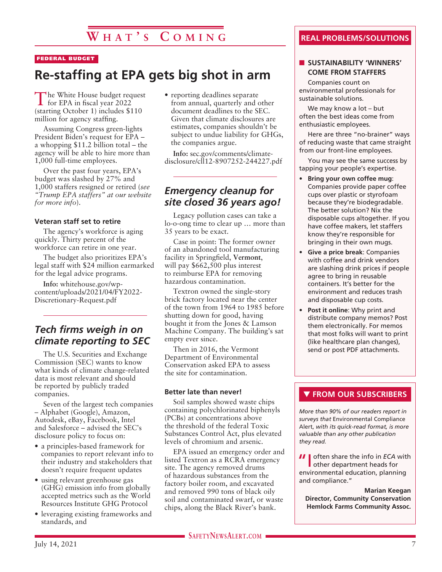#### FEDERAL BUDGET

# **Re-staffing at EPA gets big shot in arm**

The White House budget request<br>for EPA in fiscal year 2022 (starting October 1) includes \$110 million for agency staffing.

Assuming Congress green-lights President Biden's request for EPA – a whopping \$11.2 billion total – the agency will be able to hire more than 1,000 full-time employees.

Over the past four years, EPA's budget was slashed by 27% and 1,000 staffers resigned or retired (*see "Trump EPA staffers" at our website for more info*).

#### **Veteran staff set to retire**

The agency's workforce is aging quickly. Thirty percent of the workforce can retire in one year.

The budget also prioritizes EPA's legal staff with \$24 million earmarked for the legal advice programs.

**Info:** whitehouse.gov/wpcontent/uploads/2021/04/FY2022- Discretionary-Request.pdf

## *Tech firms weigh in on climate reporting to SEC*

The U.S. Securities and Exchange Commission (SEC) wants to know what kinds of climate change-related data is most relevant and should be reported by publicly traded companies.

Seven of the largest tech companies – Alphabet (Google), Amazon, Autodesk, eBay, Facebook, Intel and Salesforce – advised the SEC's disclosure policy to focus on:

- a principles-based framework for companies to report relevant info to their industry and stakeholders that doesn't require frequent updates
- using relevant greenhouse gas (GHG) emission info from globally accepted metrics such as the World Resources Institute GHG Protocol
- leveraging existing frameworks and standards, and

• reporting deadlines separate from annual, quarterly and other document deadlines to the SEC. Given that climate disclosures are estimates, companies shouldn't be subject to undue liability for GHGs, the companies argue.

**Info:** sec.gov/comments/climatedisclosure/cll12-8907252-244227.pdf

### *Emergency cleanup for site closed 36 years ago!*

Legacy pollution cases can take a lo-o-ong time to clear up … more than 35 years to be exact.

Case in point: The former owner of an abandoned tool manufacturing facility in Springfield, **Vermont**, will pay \$662,500 plus interest to reimburse EPA for removing hazardous contamination.

Textron owned the single-story brick factory located near the center of the town from 1964 to 1985 before shutting down for good, having bought it from the Jones & Lamson Machine Company. The building's sat empty ever since.

Then in 2016, the Vermont Department of Environmental Conservation asked EPA to assess the site for contamination.

#### **Better late than never!**

Soil samples showed waste chips containing polychlorinated biphenyls (PCBs) at concentrations above the threshold of the federal Toxic Substances Control Act, plus elevated levels of chromium and arsenic.

EPA issued an emergency order and listed Textron as a RCRA emergency site. The agency removed drums of hazardous substances from the factory boiler room, and excavated and removed 990 tons of black oily soil and contaminated swarf, or waste chips, along the Black River's bank.

### **REAL PROBLEMS/SOLUTIONS**

#### **N** SUSTAINABILITY 'WINNERS' **COME FROM STAFFERS**

Companies count on environmental professionals for sustainable solutions.

We may know a lot – but often the best ideas come from enthusiastic employees.

Here are three "no-brainer" ways of reducing waste that came straight from our front-line employees.

You may see the same success by tapping your people's expertise.

- **Bring your own coffee mug**: Companies provide paper coffee cups over plastic or styrofoam because they're biodegradable. The better solution? Nix the disposable cups altogether. If you have coffee makers, let staffers know they're responsible for bringing in their own mugs.
- **Give a price break**: Companies with coffee and drink vendors are slashing drink prices if people agree to bring in reusable containers. It's better for the environment and reduces trash and disposable cup costs.
- **Post it online**: Why print and distribute company memos? Post them electronically. For memos that most folks will want to print (like healthcare plan changes), send or post PDF attachments.

### **THE FROM OUR SUBSCRIBERS**

*More than 90% of our readers report in surveys that* Environmental Compliance Alert, *with its quick-read format, is more valuable than any other publication they read.*

**II** often share the info in *ECA* with other department heads for environmental education, planning and compliance."

**Marian Keegan Director, Community Conservation Hemlock Farms Community Assoc.**